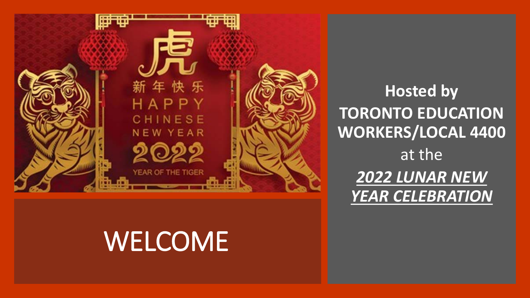

## WELCOME

**Hosted by TORONTO EDUCATION WORKERS/LOCAL 4400** at the *2022 LUNAR NEW YEAR CELEBRATION*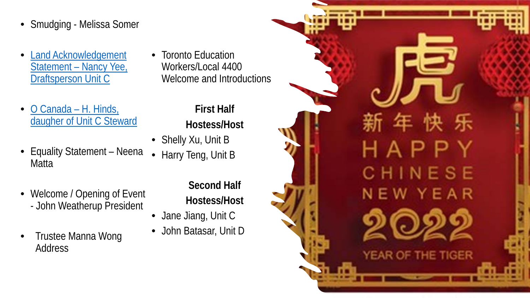- Smudging Melissa Somer
- [Land Acknowledgement](https://drive.google.com/file/d/1v15e2Qa8UlcvaZ1dqsX53ynpwFUpZV6e/view?usp=sharing)  Statement – Nancy Yee, Draftsperson Unit C
- O Canada H. Hinds, daugher [of Unit C Steward](https://drive.google.com/file/d/1m17KAktRB1YqrBa9wSZTUv8QhUTfnouW/view?usp=sharing)
- Equality Statement Neena **Matta**
- Welcome / Opening of Event - John Weatherup President
- Trustee Manna Wong **Address**

• Toronto Education Workers/Local 4400 Welcome and Introductions

## **First Half Hostess/Host**

- Shelly Xu, Unit B
- Harry Teng, Unit B

**Second Half Hostess/Host**

- Jane Jiang, Unit C
- John Batasar, Unit D

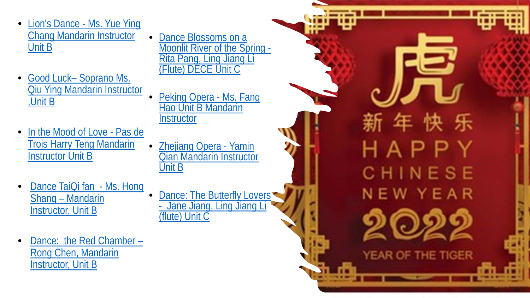- Lion's Dance Ms. Yue Ying [Chang Mandarin Instructor](https://drive.google.com/file/d/1ngglGo2U8PU9obM7d6051uf-0MOtzJnh/view?usp=sharing)  Unit B
- Good Luck– Soprano Ms. [Qiu Ying Mandarin Instructor](https://drive.google.com/file/d/1ncOPJEzgmMP8qDt6Tlf3c6wo5Wk_wcBH/view?usp=sharing) ,Unit B
- In the Mood of Love Pas de [Trois Harry Teng Mandarin](https://drive.google.com/file/d/1R-xaR5ytfD4CSPhqsulHrxnhJ-Bi8jeJ/view?usp=sharing)  Instructor Unit B
- Dance TaiQi fan Ms. Hong Shang – Mandarin [Instructor, Unit B](https://drive.google.com/file/d/1Li1IVB1Beo0TccO7vfW51o3D6cc7xwqi/view?usp=sharing)
- [Dance: the Red Chamber –](https://drive.google.com/file/d/1_k6VMvB5TKYctEkbKaabbyfBfpIeomSK/view?usp=sharing) Rong Chen, Mandarin Instructor, Unit B
- **Dance Blossoms on a**<br>Moonlit River of the Spring -Rita Pang, Ling Jiang Li (Flute) DECE Unit C
- Peking Opera Ms. Fang [Hao Unit B Mandarin](https://drive.google.com/file/d/17J_pAbdE_GpzpgrrAuprPOfunf03YC-_/view?usp=sharing)  **Instructor**
- **Zhejiang Opera Yamin** [Qian Mandarin Instructor](https://drive.google.com/file/d/1nUrfSK3Pg7TDL71QxDKoyo5BfKxUWsg9/view?usp=sharing)  Unit B
- Dance: The Butterfly Lovers - Jane Jiang, Ling Jiang Li (flute) Unit C

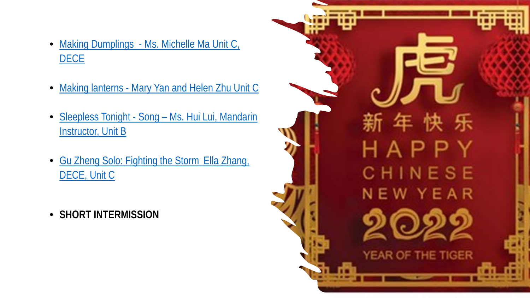- Making Dumplings [Ms. Michelle Ma Unit C,](https://drive.google.com/file/d/1J10eEVztUtmf3xHeBX1vL3Ym99Mp4wEW/view?usp=sharing) **DECE**
- Making lanterns [Mary Yan and Helen Zhu Unit C](https://drive.google.com/file/d/12WwB8aGAbUcgo0FsSSoZ4_AWrs-KvQvj/view?usp=sharing)
- Sleepless Tonight Song [Ms. Hui Lui, Mandarin](https://drive.google.com/file/d/1isjGXhuV8mO1wxRMxmTsdEgeov8KmldH/view?usp=sharing) **Instructor, Unit B**
- [Gu Zheng Solo: Fighting the Storm](https://drive.google.com/file/d/1ZB_MNltnZJUx3tVi4QAS1m1tJbcEdNP7/view?usp=sharing) Ella Zhang, DECE, Unit C
- **SHORT INTERMISSION**

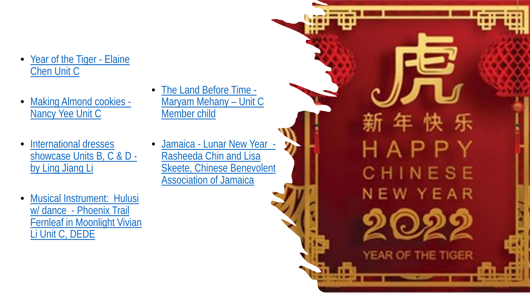- [Year of the Tiger -](https://drive.google.com/file/d/14V4ySGZVtLisDMRtl3NGEKBl55BJczcU/view?usp=sharing) Elaine Chen Unit C
- [Making Almond cookies -](https://drive.google.com/file/d/16qIje1gAMeY3F5b2R93D87vcLDzIvQ33/view?usp=sharing) Nancy Yee Unit C
- International dresses [showcase Units B, C & D](https://drive.google.com/file/d/1QkWaGHHtocINwbUTEiY31FvjmEUcwikV/view?usp=sharing)  by Ling Jiang Li
- Musical Instrument: Hulusi w/ dance - Phoenix Trail [Fernleaf in Moonlight Vivian](https://drive.google.com/file/d/1jYWqWvn7m4KcZ67Hl8IQCBi6mrBlAdPj/view?usp=sharing)  Li Unit C, DEDE
- [The Land Before Time -](https://drive.google.com/file/d/1eoBuOoq5Z7hmHRtJJqYy4IsPTvgO7HOd/view?usp=sharing) Maryam Mehany – Unit C Member child
	- Jamaica Lunar New Year Rasheeda Chin and Lisa [Skeete, Chinese Benevolent](https://drive.google.com/file/d/1jYWqWvn7m4KcZ67Hl8IQCBi6mrBlAdPj/view?usp=sharing) Association of Jamaica

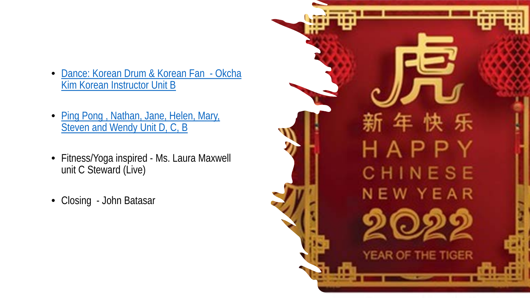- [Dance: Korean Drum & Korean Fan -](https://drive.google.com/file/d/1GAPw_GyGuhOrf0VJaO6Q83Bi5R8Gq9fD/view?usp=sharing) Okcha Kim Korean Instructor Unit B
- [Ping Pong , Nathan, Jane, Helen, Mary,](https://drive.google.com/file/d/11WxbWW-yfyis5eK4ctv81H7a8UU_qbPO/view?usp=sharing) Steven and Wendy Unit D, C, B
- Fitness/Yoga inspired Ms. Laura Maxwell unit C Steward (Live)
- Closing John Batasar